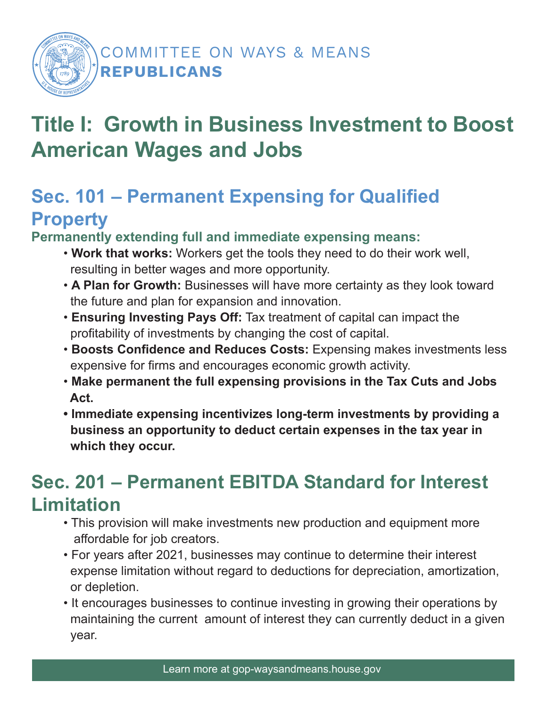

### COMMITTEE ON WAYS & MEANS REPUBLICANS

# **Title I: Growth in Business Investment to Boost American Wages and Jobs**

## **Sec. 101 – Permanent Expensing for Qualified Property**

**Permanently extending full and immediate expensing means:** 

- **Work that works:** Workers get the tools they need to do their work well, resulting in better wages and more opportunity.
- **A Plan for Growth:** Businesses will have more certainty as they look toward the future and plan for expansion and innovation.
- **Ensuring Investing Pays Off:** Tax treatment of capital can impact the profitability of investments by changing the cost of capital.
- **Boosts Confidence and Reduces Costs:** Expensing makes investments less expensive for firms and encourages economic growth activity.
- **Make permanent the full expensing provisions in the Tax Cuts and Jobs Act.**
- **Immediate expensing incentivizes long-term investments by providing a business an opportunity to deduct certain expenses in the tax year in which they occur.**

## **Sec. 201 – Permanent EBITDA Standard for Interest Limitation**

- This provision will make investments new production and equipment more affordable for job creators.
- For years after 2021, businesses may continue to determine their interest expense limitation without regard to deductions for depreciation, amortization, or depletion.
- It encourages businesses to continue investing in growing their operations by maintaining the current amount of interest they can currently deduct in a given year.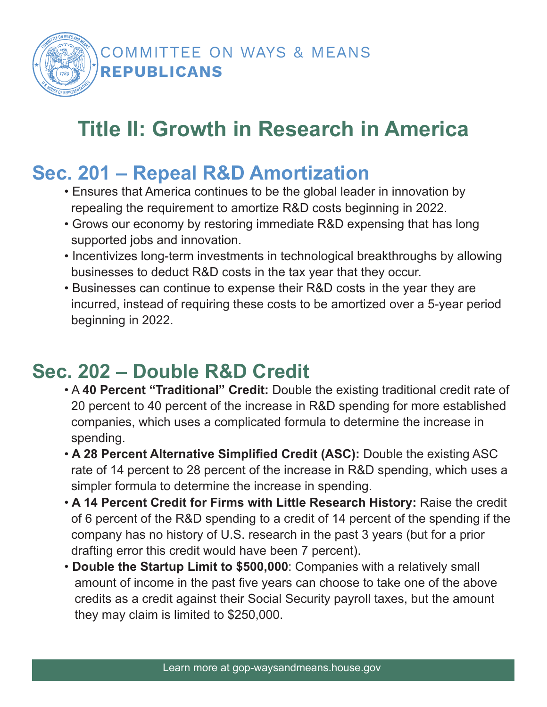

# **Title II: Growth in Research in America**

## **Sec. 201 – Repeal R&D Amortization**

- Ensures that America continues to be the global leader in innovation by repealing the requirement to amortize R&D costs beginning in 2022.
- Grows our economy by restoring immediate R&D expensing that has long supported jobs and innovation.
- Incentivizes long-term investments in technological breakthroughs by allowing businesses to deduct R&D costs in the tax year that they occur.
- Businesses can continue to expense their R&D costs in the year they are incurred, instead of requiring these costs to be amortized over a 5-year period beginning in 2022.

### **Sec. 202 – Double R&D Credit**

- A **40 Percent "Traditional" Credit:** Double the existing traditional credit rate of 20 percent to 40 percent of the increase in R&D spending for more established companies, which uses a complicated formula to determine the increase in spending.
- • **A 28 Percent Alternative Simplified Credit (ASC):** Double the existing ASC rate of 14 percent to 28 percent of the increase in R&D spending, which uses a simpler formula to determine the increase in spending.
- • **A 14 Percent Credit for Firms with Little Research History:** Raise the credit of 6 percent of the R&D spending to a credit of 14 percent of the spending if the company has no history of U.S. research in the past 3 years (but for a prior drafting error this credit would have been 7 percent).
- **Double the Startup Limit to \$500,000**: Companies with a relatively small amount of income in the past five years can choose to take one of the above credits as a credit against their Social Security payroll taxes, but the amount they may claim is limited to \$250,000.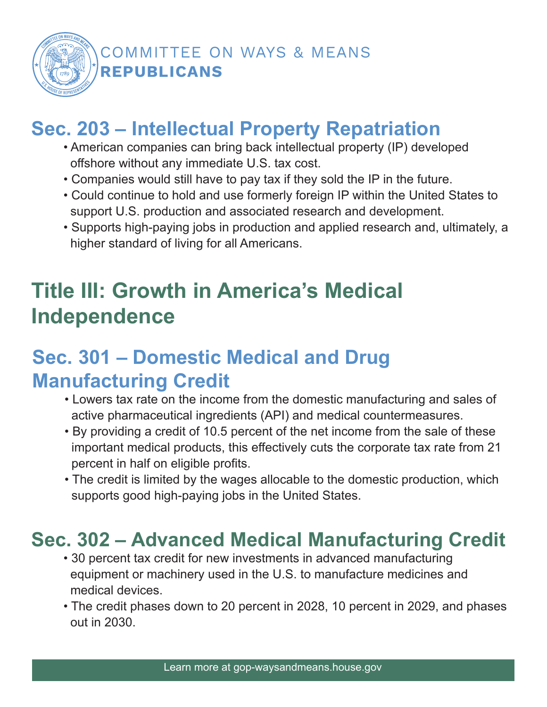

### COMMITTEE ON WAYS & MEANS REPUBLICANS

## **Sec. 203 – Intellectual Property Repatriation**

- American companies can bring back intellectual property (IP) developed offshore without any immediate U.S. tax cost.
- Companies would still have to pay tax if they sold the IP in the future.
- Could continue to hold and use formerly foreign IP within the United States to support U.S. production and associated research and development.
- Supports high-paying jobs in production and applied research and, ultimately, a higher standard of living for all Americans.

# **Title III: Growth in America's Medical Independence**

## **Sec. 301 – Domestic Medical and Drug Manufacturing Credit**

- Lowers tax rate on the income from the domestic manufacturing and sales of active pharmaceutical ingredients (API) and medical countermeasures.
- By providing a credit of 10.5 percent of the net income from the sale of these important medical products, this effectively cuts the corporate tax rate from 21 percent in half on eligible profits.
- The credit is limited by the wages allocable to the domestic production, which supports good high-paying jobs in the United States.

## **Sec. 302 – Advanced Medical Manufacturing Credit**

- 30 percent tax credit for new investments in advanced manufacturing equipment or machinery used in the U.S. to manufacture medicines and medical devices.
- The credit phases down to 20 percent in 2028, 10 percent in 2029, and phases out in 2030.